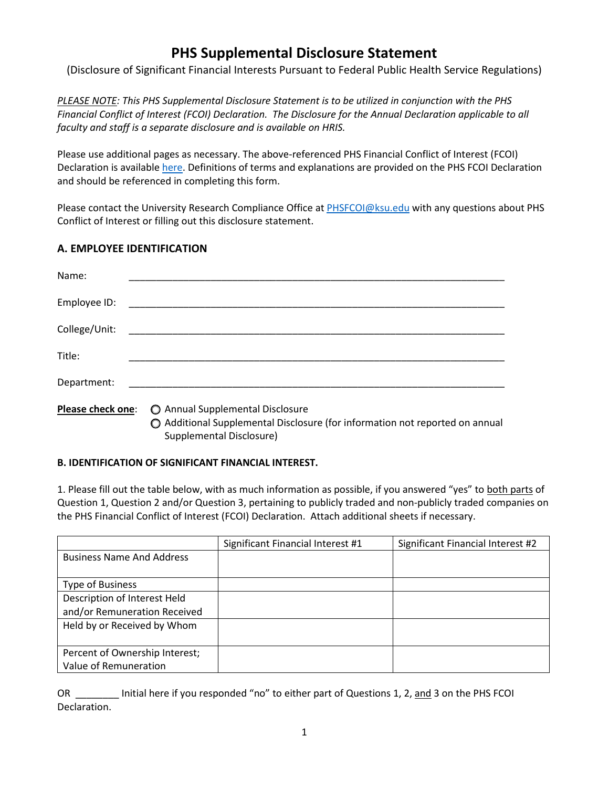## **PHS Supplemental Disclosure Statement**

(Disclosure of Significant Financial Interests Pursuant to Federal Public Health Service Regulations)

*PLEASE NOTE: This PHS Supplemental Disclosure Statement is to be utilized in conjunction with the PHS Financial Conflict of Interest (FCOI) Declaration. The Disclosure for the Annual Declaration applicable to all faculty and staff is a separate disclosure and is available on HRIS.*

Please use additional pages as necessary. The above-referenced PHS Financial Conflict of Interest (FCOI) Declaration is available [here.](https://www.k-state.edu/conflict/forms/phs.html) Definitions of terms and explanations are provided on the PHS FCOI Declaration and should be referenced in completing this form.

Please contact the University Research Compliance Office at **PHSFCOI@ksu.edu** with any questions about PHS Conflict of Interest or filling out this disclosure statement.

## **A. EMPLOYEE IDENTIFICATION**

| Name:                    |                                                                                                                                            |
|--------------------------|--------------------------------------------------------------------------------------------------------------------------------------------|
| Employee ID:             |                                                                                                                                            |
| College/Unit:            |                                                                                                                                            |
| Title:                   |                                                                                                                                            |
| Department:              |                                                                                                                                            |
| <b>Please check one:</b> | Annual Supplemental Disclosure<br>◯ Additional Supplemental Disclosure (for information not reported on annual<br>Supplemental Disclosure) |

## **B. IDENTIFICATION OF SIGNIFICANT FINANCIAL INTEREST.**

1. Please fill out the table below, with as much information as possible, if you answered "yes" to both parts of Question 1, Question 2 and/or Question 3, pertaining to publicly traded and non-publicly traded companies on the PHS Financial Conflict of Interest (FCOI) Declaration. Attach additional sheets if necessary.

|                                  | Significant Financial Interest #1 | Significant Financial Interest #2 |
|----------------------------------|-----------------------------------|-----------------------------------|
| <b>Business Name And Address</b> |                                   |                                   |
|                                  |                                   |                                   |
| <b>Type of Business</b>          |                                   |                                   |
| Description of Interest Held     |                                   |                                   |
| and/or Remuneration Received     |                                   |                                   |
| Held by or Received by Whom      |                                   |                                   |
|                                  |                                   |                                   |
| Percent of Ownership Interest;   |                                   |                                   |
| Value of Remuneration            |                                   |                                   |

OR **Notain** Initial here if you responded "no" to either part of Questions 1, 2, and 3 on the PHS FCOI Declaration.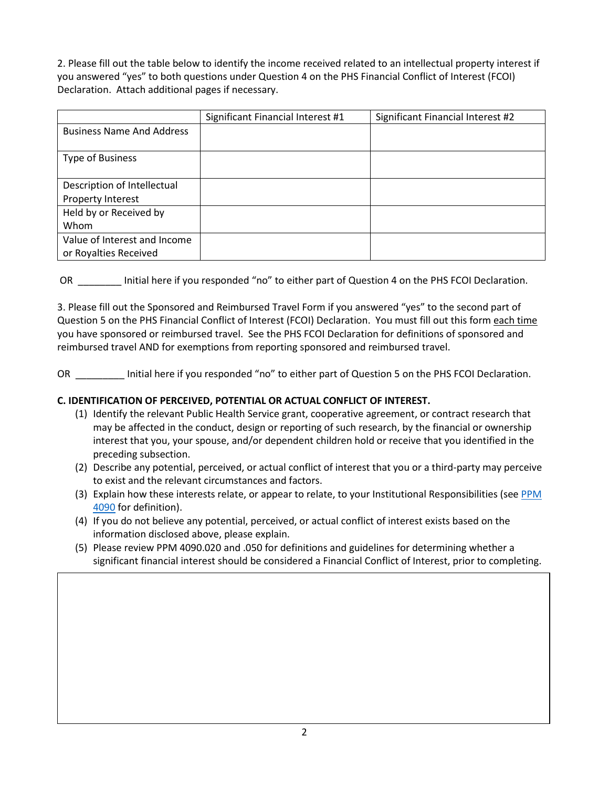2. Please fill out the table below to identify the income received related to an intellectual property interest if you answered "yes" to both questions under Question 4 on the PHS Financial Conflict of Interest (FCOI) Declaration. Attach additional pages if necessary.

|                                  | Significant Financial Interest #1 | Significant Financial Interest #2 |
|----------------------------------|-----------------------------------|-----------------------------------|
| <b>Business Name And Address</b> |                                   |                                   |
|                                  |                                   |                                   |
| <b>Type of Business</b>          |                                   |                                   |
|                                  |                                   |                                   |
| Description of Intellectual      |                                   |                                   |
| Property Interest                |                                   |                                   |
| Held by or Received by           |                                   |                                   |
| Whom                             |                                   |                                   |
| Value of Interest and Income     |                                   |                                   |
| or Royalties Received            |                                   |                                   |

OR \_\_\_\_\_\_\_\_ Initial here if you responded "no" to either part of Question 4 on the PHS FCOI Declaration.

3. Please fill out the Sponsored and Reimbursed Travel Form if you answered "yes" to the second part of Question 5 on the PHS Financial Conflict of Interest (FCOI) Declaration. You must fill out this form each time you have sponsored or reimbursed travel. See the PHS FCOI Declaration for definitions of sponsored and reimbursed travel AND for exemptions from reporting sponsored and reimbursed travel.

OR \_\_\_\_\_\_\_\_\_ Initial here if you responded "no" to either part of Question 5 on the PHS FCOI Declaration.

## **C. IDENTIFICATION OF PERCEIVED, POTENTIAL OR ACTUAL CONFLICT OF INTEREST.**

- (1) Identify the relevant Public Health Service grant, cooperative agreement, or contract research that may be affected in the conduct, design or reporting of such research, by the financial or ownership interest that you, your spouse, and/or dependent children hold or receive that you identified in the preceding subsection.
- (2) Describe any potential, perceived, or actual conflict of interest that you or a third-party may perceive to exist and the relevant circumstances and factors.
- (3) Explain how these interests relate, or appear to relate, to your Institutional Responsibilities (see PPM [4090](https://www.k-state.edu/policies/ppm/4000/PPM-4090.pdf) for definition).
- (4) If you do not believe any potential, perceived, or actual conflict of interest exists based on the information disclosed above, please explain.
- (5) Please review PPM 4090.020 and .050 for definitions and guidelines for determining whether a significant financial interest should be considered a Financial Conflict of Interest, prior to completing.